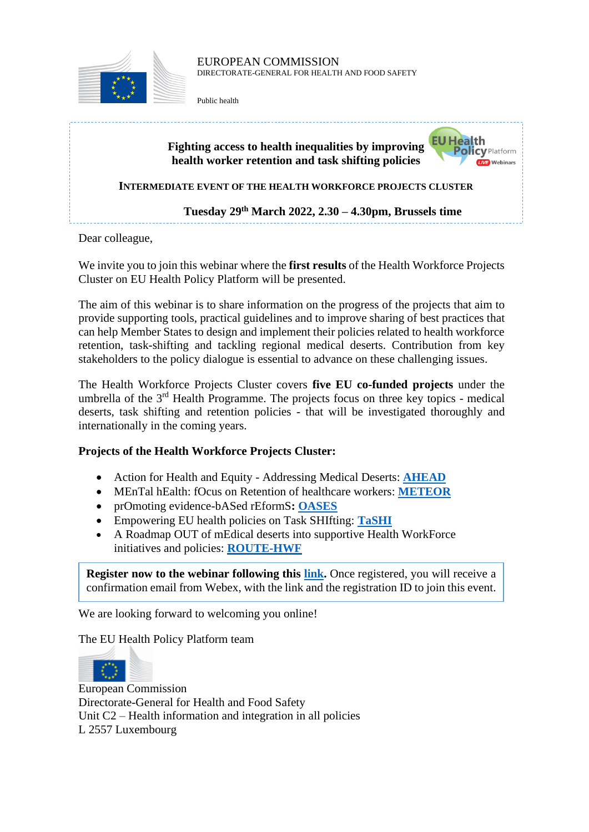

## EUROPEAN COMMISSION DIRECTORATE-GENERAL FOR HEALTH AND FOOD SAFETY

Public health



We invite you to join this webinar where the **first results** of the Health Workforce Projects Cluster on EU Health Policy Platform will be presented.

The aim of this webinar is to share information on the progress of the projects that aim to provide supporting tools, practical guidelines and to improve sharing of best practices that can help Member States to design and implement their policies related to health workforce retention, task-shifting and tackling regional medical deserts. Contribution from key stakeholders to the policy dialogue is essential to advance on these challenging issues.

The Health Workforce Projects Cluster covers **five EU co-funded projects** under the umbrella of the  $3<sup>rd</sup>$  Health Programme. The projects focus on three key topics - medical deserts, task shifting and retention policies - that will be investigated thoroughly and internationally in the coming years.

## **Projects of the Health Workforce Projects Cluster:**

- Action for Health and Equity Addressing Medical Deserts: **[AHEAD](https://ahead.health/)**
- MEnTal hEalth: fOcus on Retention of healthcare workers: **[METEOR](http://meteorproject.eu/the-promoter/)**
- prOmoting evidence-bASed rEformS**: [OASES](https://oasesproject.eu/)**
- Empowering EU health policies on Task SHIfting: **[TaSHI](https://tashiproject.eu/)**
- A Roadmap OUT of mEdical deserts into supportive Health WorkForce initiatives and policies: **[ROUTE-HWF](https://route-hwf.eu/)**

**Register now to the webinar following this [link.](https://ecconf.webex.com/ecconf/onstage/g.php?MTID=e93e83b10aa5cd3ebe5dc689fb4be23a2)** Once registered, you will receive a confirmation email from Webex, with the link and the registration ID to join this event.

We are looking forward to welcoming you online!

The EU Health Policy Platform team



European Commission Directorate-General for Health and Food Safety Unit C2 – Health information and integration in all policies L 2557 Luxembourg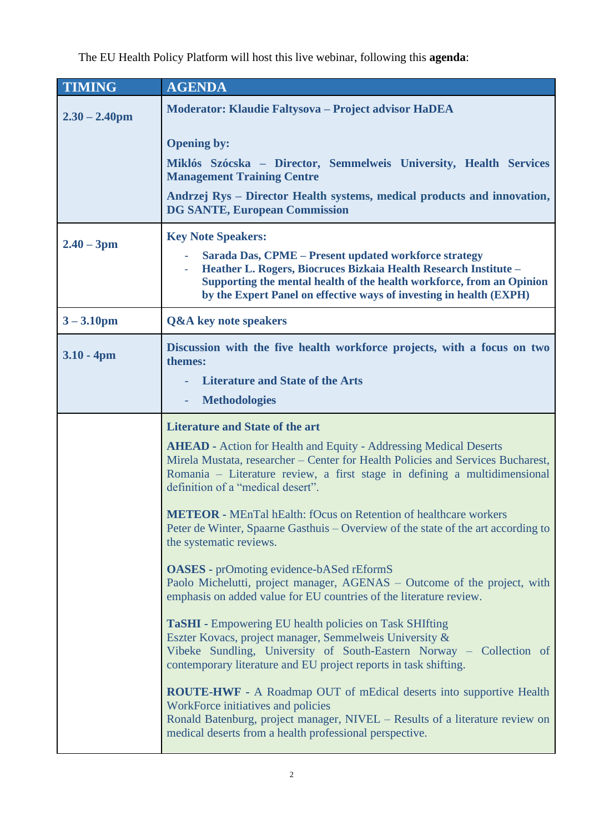The EU Health Policy Platform will host this live webinar, following this **agenda**:

| <b>TIMING</b>    | <b>AGENDA</b>                                                                                                                                                                                                                                                                                          |
|------------------|--------------------------------------------------------------------------------------------------------------------------------------------------------------------------------------------------------------------------------------------------------------------------------------------------------|
| $2.30 - 2.40$ pm | Moderator: Klaudie Faltysova – Project advisor HaDEA                                                                                                                                                                                                                                                   |
|                  | <b>Opening by:</b>                                                                                                                                                                                                                                                                                     |
|                  | Miklós Szócska – Director, Semmelweis University, Health Services<br><b>Management Training Centre</b>                                                                                                                                                                                                 |
|                  | Andrzej Rys - Director Health systems, medical products and innovation,<br><b>DG SANTE, European Commission</b>                                                                                                                                                                                        |
| $2.40 - 3pm$     | <b>Key Note Speakers:</b><br>Sarada Das, CPME - Present updated workforce strategy<br>Heather L. Rogers, Biocruces Bizkaia Health Research Institute -<br>Supporting the mental health of the health workforce, from an Opinion<br>by the Expert Panel on effective ways of investing in health (EXPH) |
| $3 - 3.10$ pm    | <b>Q&amp;A</b> key note speakers                                                                                                                                                                                                                                                                       |
| $3.10 - 4pm$     | Discussion with the five health workforce projects, with a focus on two<br>themes:<br><b>Literature and State of the Arts</b>                                                                                                                                                                          |
|                  | <b>Methodologies</b>                                                                                                                                                                                                                                                                                   |
|                  | <b>Literature and State of the art</b>                                                                                                                                                                                                                                                                 |
|                  | <b>AHEAD</b> - Action for Health and Equity - Addressing Medical Deserts<br>Mirela Mustata, researcher – Center for Health Policies and Services Bucharest,<br>Romania – Literature review, a first stage in defining a multidimensional<br>definition of a "medical desert".                          |
|                  | <b>METEOR</b> - MEnTal hEalth: fOcus on Retention of healthcare workers<br>Peter de Winter, Spaarne Gasthuis – Overview of the state of the art according to<br>the systematic reviews.                                                                                                                |
|                  | <b>OASES</b> - prOmoting evidence-bASed rEformS<br>Paolo Michelutti, project manager, AGENAS – Outcome of the project, with<br>emphasis on added value for EU countries of the literature review.                                                                                                      |
|                  | <b>TaSHI</b> - Empowering EU health policies on Task SHIfting<br>Eszter Kovacs, project manager, Semmelweis University &<br>Vibeke Sundling, University of South-Eastern Norway - Collection of<br>contemporary literature and EU project reports in task shifting.                                    |
|                  | <b>ROUTE-HWF</b> - A Roadmap OUT of mEdical deserts into supportive Health<br>WorkForce initiatives and policies<br>Ronald Batenburg, project manager, NIVEL - Results of a literature review on<br>medical deserts from a health professional perspective.                                            |